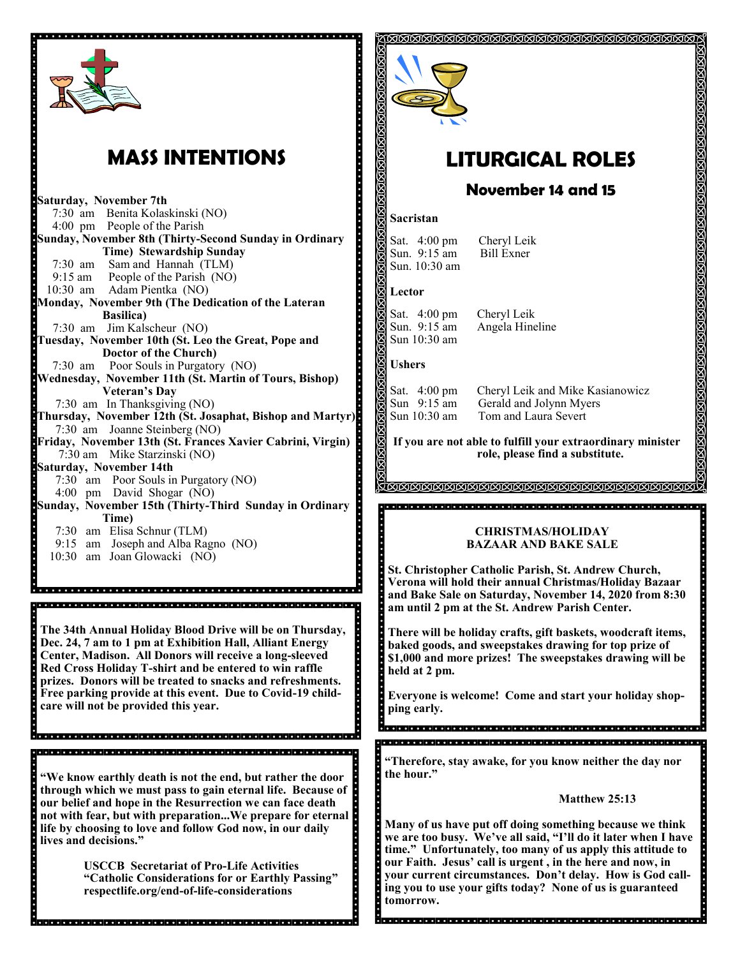

# **MASS INTENTIONS**

**Saturday, November 7th**  7:30 am Benita Kolaskinski (NO) 4:00 pm People of the Parish **Sunday, November 8th (Thirty-Second Sunday in Ordinary Time) Stewardship Sunday** 7:30 am Sam and Hannah (TLM) 9:15 am People of the Parish (NO) 10:30 am Adam Pientka (NO) **Monday, November 9th (The Dedication of the Lateran Basilica)** 7:30 am Jim Kalscheur (NO) **Tuesday, November 10th (St. Leo the Great, Pope and Doctor of the Church)** 7:30 am Poor Souls in Purgatory (NO) **Wednesday, November 11th (St. Martin of Tours, Bishop) Veteran's Day** 7:30 am In Thanksgiving (NO) **Thursday, November 12th (St. Josaphat, Bishop and Martyr)** 7:30 am Joanne Steinberg (NO) **Friday, November 13th (St. Frances Xavier Cabrini, Virgin)** 7:30 am Mike Starzinski (NO) **Saturday, November 14th** 7:30 am Poor Souls in Purgatory (NO) 4:00 pm David Shogar (NO) **Sunday, November 15th (Thirty-Third Sunday in Ordinary Time)**  7:30 am Elisa Schnur (TLM) 9:15 am Joseph and Alba Ragno (NO) 10:30 am Joan Glowacki (NO)

**The 34th Annual Holiday Blood Drive will be on Thursday, Dec. 24, 7 am to 1 pm at Exhibition Hall, Alliant Energy Center, Madison. All Donors will receive a long-sleeved Red Cross Holiday T-shirt and be entered to win raffle prizes. Donors will be treated to snacks and refreshments. Free parking provide at this event. Due to Covid-19 childcare will not be provided this year.** 

**"We know earthly death is not the end, but rather the door through which we must pass to gain eternal life. Because of our belief and hope in the Resurrection we can face death not with fear, but with preparation...We prepare for eternal life by choosing to love and follow God now, in our daily lives and decisions."**

**USCCB Secretariat of Pro-Life Activities "Catholic Considerations for or Earthly Passing" respectlife.org/end-of-life-considerations**



# **LITURGICAL ROLES**

## **November 14 and 15**

#### **Sacristan**

Sat. 4:00 pm Cheryl Leik<br>Sun. 9:15 am Bill Exner Sun.  $9:15$  am Sun. 10:30 am

#### **Lector**

Sat. 4:00 pm Cheryl Leik<br>Sun. 9:15 am Angela Hine Sun 10:30 am

Angela Hineline

#### **Ushers**

Ş

Sat. 4:00 pm Cheryl Leik and Mike Kasianowicz Sun 9:15 am Gerald and Jolynn Myers<br>Sun 10:30 am Tom and Laura Severt Tom and Laura Severt

**If you are not able to fulfill your extraordinary minister role, please find a substitute.** 

<u>a mana mana mana mana mana mana m</u><br>M

#### **CHRISTMAS/HOLIDAY BAZAAR AND BAKE SALE**

**St. Christopher Catholic Parish, St. Andrew Church, Verona will hold their annual Christmas/Holiday Bazaar and Bake Sale on Saturday, November 14, 2020 from 8:30 am until 2 pm at the St. Andrew Parish Center.**

**There will be holiday crafts, gift baskets, woodcraft items, baked goods, and sweepstakes drawing for top prize of \$1,000 and more prizes! The sweepstakes drawing will be held at 2 pm.**

**Everyone is welcome! Come and start your holiday shopping early.** 

**"Therefore, stay awake, for you know neither the day nor the hour."**

#### **Matthew 25:13**

**Many of us have put off doing something because we think we are too busy. We've all said, "I'll do it later when I have time." Unfortunately, too many of us apply this attitude to our Faith. Jesus' call is urgent , in the here and now, in your current circumstances. Don't delay. How is God calling you to use your gifts today? None of us is guaranteed tomorrow.**